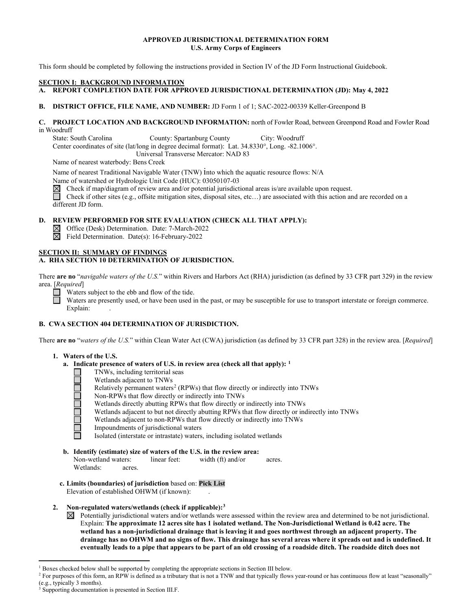# **APPROVED JURISDICTIONAL DETERMINATION FORM U.S. Army Corps of Engineers**

This form should be completed by following the instructions provided in Section IV of the JD Form Instructional Guidebook.

## **SECTION I: BACKGROUND INFORMATION**

**A. REPORT COMPLETION DATE FOR APPROVED JURISDICTIONAL DETERMINATION (JD): May 4, 2022** 

# **B. DISTRICT OFFICE, FILE NAME, AND NUMBER:** JD Form 1 of 1; SAC-2022-00339 Keller-Greenpond B

# **C. PROJECT LOCATION AND BACKGROUND INFORMATION:** north of Fowler Road, between Greenpond Road and Fowler Road in Woodruff

State: South Carolina County: Spartanburg County City: Woodruff Center coordinates of site (lat/long in degree decimal format): Lat. 34.8330°, Long. -82.1006°.

Universal Transverse Mercator: NAD 83

Name of nearest waterbody: Bens Creek

Name of nearest Traditional Navigable Water (TNW) into which the aquatic resource flows: N/A

Name of watershed or Hydrologic Unit Code (HUC): 03050107-03

 $\boxtimes$ Check if map/diagram of review area and/or potential jurisdictional areas is/are available upon request.

Check if other sites (e.g., offsite mitigation sites, disposal sites, etc...) are associated with this action and are recorded on a different JD form.

# **D. REVIEW PERFORMED FOR SITE EVALUATION (CHECK ALL THAT APPLY):**

Office (Desk) Determination. Date: 7-March-2022

 $\overline{\boxtimes}$ Field Determination. Date(s): 16-February-2022

#### **SECTION II: SUMMARY OF FINDINGS A. RHA SECTION 10 DETERMINATION OF JURISDICTION.**

There **are no** "*navigable waters of the U.S.*" within Rivers and Harbors Act (RHA) jurisdiction (as defined by 33 CFR part 329) in the review area. [*Required*]

Waters subject to the ebb and flow of the tide.

Waters are presently used, or have been used in the past, or may be susceptible for use to transport interstate or foreign commerce. Explain:

# **B. CWA SECTION 404 DETERMINATION OF JURISDICTION.**

There **are no** "*waters of the U.S.*" within Clean Water Act (CWA) jurisdiction (as defined by 33 CFR part 328) in the review area. [*Required*]

# **1. Waters of the U.S.**

П

- **a. Indicate presence of waters of U.S. in review area (check all that apply): [1](#page-0-0)**
	- TNWs, including territorial seas
	- □ Wetlands adjacent to TNWs<br>
	Relatively permanent waters<br>
	□ Non-RPWs that flow directly<br>
	Wetlands directly abutting R<br>
	Wetlands adjacent to but not<br>
	Wetlands adjacent to non-RI<br>
	Impoundments of jurisdiction<br>
	Isolated (int
		- Relatively permanent waters<sup>2</sup> (RPWs) that flow directly or indirectly into TNWs
		- Non-RPWs that flow directly or indirectly into TNWs
		- Wetlands directly abutting RPWs that flow directly or indirectly into TNWs
		- Wetlands adjacent to but not directly abutting RPWs that flow directly or indirectly into TNWs
		- Wetlands adjacent to non-RPWs that flow directly or indirectly into TNWs
		- Impoundments of jurisdictional waters
		- Isolated (interstate or intrastate) waters, including isolated wetlands
- **b. Identify (estimate) size of waters of the U.S. in the review area:** Non-wetland waters: linear feet: width (ft) and/or acres. Wetlands: acres.
- **c. Limits (boundaries) of jurisdiction** based on: **Pick List** Elevation of established OHWM (if known):

# **2. Non-regulated waters/wetlands (check if applicable)[:3](#page-0-2)**

 $\boxtimes$  Potentially jurisdictional waters and/or wetlands were assessed within the review area and determined to be not jurisdictional. Explain: **The approximate 12 acres site has 1 isolated wetland. The Non-Jurisdictional Wetland is 0.42 acre. The wetland has a non-jurisdictional drainage that is leaving it and goes northwest through an adjacent property. The drainage has no OHWM and no signs of flow. This drainage has several areas where it spreads out and is undefined. It eventually leads to a pipe that appears to be part of an old crossing of a roadside ditch. The roadside ditch does not** 

<span id="page-0-0"></span><sup>&</sup>lt;sup>1</sup> Boxes checked below shall be supported by completing the appropriate sections in Section III below.

<span id="page-0-1"></span><sup>&</sup>lt;sup>2</sup> For purposes of this form, an RPW is defined as a tributary that is not a TNW and that typically flows year-round or has continuous flow at least "seasonally" (e.g., typically 3 months).

<span id="page-0-2"></span><sup>3</sup> Supporting documentation is presented in Section III.F.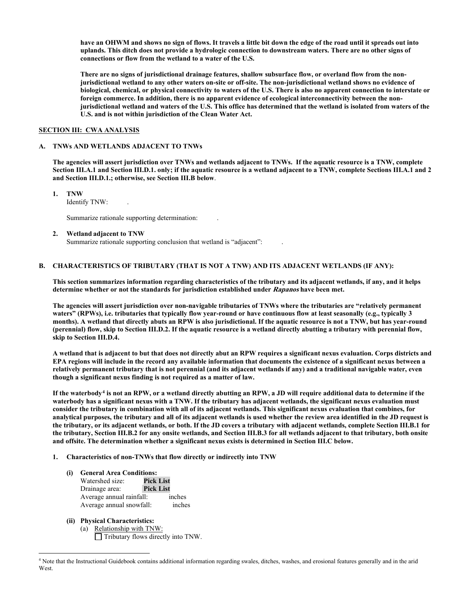**have an OHWM and shows no sign of flows. It travels a little bit down the edge of the road until it spreads out into uplands. This ditch does not provide a hydrologic connection to downstream waters. There are no other signs of connections or flow from the wetland to a water of the U.S.**

 **There are no signs of jurisdictional drainage features, shallow subsurface flow, or overland flow from the nonjurisdictional wetland to any other waters on-site or off-site. The non-jurisdictional wetland shows no evidence of biological, chemical, or physical connectivity to waters of the U.S. There is also no apparent connection to interstate or foreign commerce. In addition, there is no apparent evidence of ecological interconnectivity between the nonjurisdictional wetland and waters of the U.S. This office has determined that the wetland is isolated from waters of the U.S. and is not within jurisdiction of the Clean Water Act.**

## **SECTION III: CWA ANALYSIS**

## **A. TNWs AND WETLANDS ADJACENT TO TNWs**

**The agencies will assert jurisdiction over TNWs and wetlands adjacent to TNWs. If the aquatic resource is a TNW, complete Section III.A.1 and Section III.D.1. only; if the aquatic resource is a wetland adjacent to a TNW, complete Sections III.A.1 and 2 and Section III.D.1.; otherwise, see Section III.B below**.

 **1. TNW** 

Identify TNW: .

Summarize rationale supporting determination: .

#### **2. Wetland adjacent to TNW**

Summarize rationale supporting conclusion that wetland is "adjacent":

#### **B. CHARACTERISTICS OF TRIBUTARY (THAT IS NOT A TNW) AND ITS ADJACENT WETLANDS (IF ANY):**

 **This section summarizes information regarding characteristics of the tributary and its adjacent wetlands, if any, and it helps determine whether or not the standards for jurisdiction established under Rapanos have been met.** 

 **The agencies will assert jurisdiction over non-navigable tributaries of TNWs where the tributaries are "relatively permanent waters" (RPWs), i.e. tributaries that typically flow year-round or have continuous flow at least seasonally (e.g., typically 3 months). A wetland that directly abuts an RPW is also jurisdictional. If the aquatic resource is not a TNW, but has year-round (perennial) flow, skip to Section III.D.2. If the aquatic resource is a wetland directly abutting a tributary with perennial flow, skip to Section III.D.4.** 

**A wetland that is adjacent to but that does not directly abut an RPW requires a significant nexus evaluation. Corps districts and EPA regions will include in the record any available information that documents the existence of a significant nexus between a relatively permanent tributary that is not perennial (and its adjacent wetlands if any) and a traditional navigable water, even though a significant nexus finding is not required as a matter of law.** 

**If the waterbody[4](#page-1-0) is not an RPW, or a wetland directly abutting an RPW, a JD will require additional data to determine if the waterbody has a significant nexus with a TNW. If the tributary has adjacent wetlands, the significant nexus evaluation must consider the tributary in combination with all of its adjacent wetlands. This significant nexus evaluation that combines, for analytical purposes, the tributary and all of its adjacent wetlands is used whether the review area identified in the JD request is the tributary, or its adjacent wetlands, or both. If the JD covers a tributary with adjacent wetlands, complete Section III.B.1 for the tributary, Section III.B.2 for any onsite wetlands, and Section III.B.3 for all wetlands adjacent to that tributary, both onsite and offsite. The determination whether a significant nexus exists is determined in Section III.C below.** 

- **1. Characteristics of non-TNWs that flow directly or indirectly into TNW**
	- **(i) General Area Conditions:** Watershed size: **Pick List** Drainage area: **Pick List** Average annual rainfall: Average annual snowfall: inches
	- **(ii) Physical Characteristics:** 
		- (a) Relationship with TNW:

 $\Box$  Tributary flows directly into TNW.

<span id="page-1-0"></span><sup>4</sup> Note that the Instructional Guidebook contains additional information regarding swales, ditches, washes, and erosional features generally and in the arid **West**.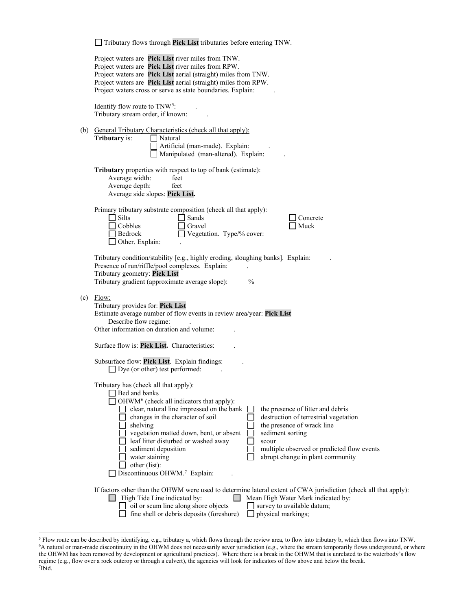|  | $\Box$ Tributary flows through Pick List tributaries before entering TNW. |  |  |
|--|---------------------------------------------------------------------------|--|--|
|--|---------------------------------------------------------------------------|--|--|

|     | Project waters are Pick List river miles from TNW.<br>Project waters are Pick List river miles from RPW.<br>Project waters are Pick List aerial (straight) miles from TNW.<br>Project waters are Pick List aerial (straight) miles from RPW.<br>Project waters cross or serve as state boundaries. Explain:                                                                                                                                                                                                                                                                                                                             |
|-----|-----------------------------------------------------------------------------------------------------------------------------------------------------------------------------------------------------------------------------------------------------------------------------------------------------------------------------------------------------------------------------------------------------------------------------------------------------------------------------------------------------------------------------------------------------------------------------------------------------------------------------------------|
|     | Identify flow route to $TNW5$ :<br>Tributary stream order, if known:                                                                                                                                                                                                                                                                                                                                                                                                                                                                                                                                                                    |
|     | (b) General Tributary Characteristics (check all that apply):<br>Tributary is:<br>Natural<br>Artificial (man-made). Explain:<br>Manipulated (man-altered). Explain:                                                                                                                                                                                                                                                                                                                                                                                                                                                                     |
|     | Tributary properties with respect to top of bank (estimate):<br>Average width:<br>feet<br>Average depth:<br>feet<br>Average side slopes: Pick List.                                                                                                                                                                                                                                                                                                                                                                                                                                                                                     |
|     | Primary tributary substrate composition (check all that apply):<br>Silts<br>Sands<br>Concrete<br>Cobbles<br>Gravel<br>Muck<br>Vegetation. Type/% cover:<br>Bedrock<br>Other. Explain:                                                                                                                                                                                                                                                                                                                                                                                                                                                   |
|     | Tributary condition/stability [e.g., highly eroding, sloughing banks]. Explain:<br>Presence of run/riffle/pool complexes. Explain:<br>Tributary geometry: Pick List<br>Tributary gradient (approximate average slope):<br>$\frac{0}{0}$                                                                                                                                                                                                                                                                                                                                                                                                 |
| (c) | Flow:<br>Tributary provides for: Pick List<br>Estimate average number of flow events in review area/year: Pick List<br>Describe flow regime:<br>Other information on duration and volume:                                                                                                                                                                                                                                                                                                                                                                                                                                               |
|     | Surface flow is: Pick List. Characteristics:                                                                                                                                                                                                                                                                                                                                                                                                                                                                                                                                                                                            |
|     | Subsurface flow: Pick List. Explain findings:<br>$\Box$ Dye (or other) test performed:                                                                                                                                                                                                                                                                                                                                                                                                                                                                                                                                                  |
|     | Tributary has (check all that apply):<br>Bed and banks<br>$\Box$ OHWM <sup>6</sup> (check all indicators that apply):<br>clear, natural line impressed on the bank<br>the presence of litter and debris<br>changes in the character of soil<br>destruction of terrestrial vegetation<br>shelving<br>the presence of wrack line<br>vegetation matted down, bent, or absent<br>sediment sorting<br>leaf litter disturbed or washed away<br>scour<br>multiple observed or predicted flow events<br>sediment deposition<br>abrupt change in plant community<br>water staining<br>other (list):<br>Discontinuous OHWM. <sup>7</sup> Explain: |
|     | If factors other than the OHWM were used to determine lateral extent of CWA jurisdiction (check all that apply):<br>High Tide Line indicated by:<br>Mean High Water Mark indicated by:<br>$\mathbf{I}$<br>oil or scum line along shore objects<br>survey to available datum;<br>fine shell or debris deposits (foreshore)<br>physical markings;                                                                                                                                                                                                                                                                                         |

<span id="page-2-2"></span><span id="page-2-1"></span><span id="page-2-0"></span><sup>5</sup> Flow route can be described by identifying, e.g., tributary a, which flows through the review area, to flow into tributary b, which then flows into TNW. 6 A natural or man-made discontinuity in the OHWM does not necessarily sever jurisdiction (e.g., where the stream temporarily flows underground, or where the OHWM has been removed by development or agricultural practices). Where there is a break in the OHWM that is unrelated to the waterbody's flow regime (e.g., flow over a rock outcrop or through a culvert), the agencies will look for indicators of flow above and below the break. 7 Ibid.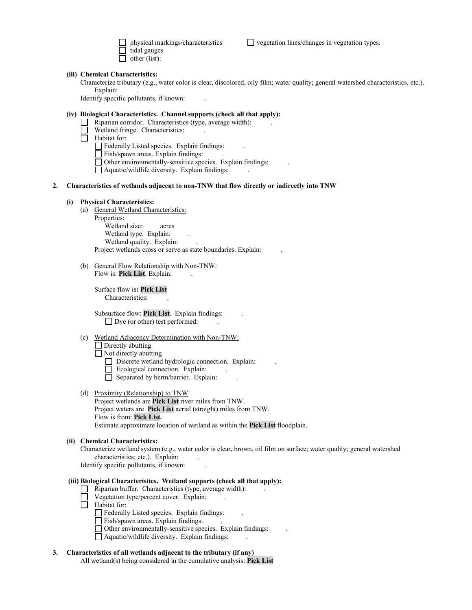lal gauges other (list):

physical markings/characteristics  $\Box$  vegetation lines/changes in vegetation types.

#### **(iii) Chemical Characteristics:**

Characterize tributary (e.g., water color is clear, discolored, oily film; water quality; general watershed characteristics, etc.). Explain:

Identify specific pollutants, if known: .

# **(iv) Biological Characteristics. Channel supports (check all that apply):**

- Riparian corridor. Characteristics (type, average width): .
- Wetland fringe. Characteristics:

 $\overline{\Box}$  Habitat for:

 $\Box$  Federally Listed species. Explain findings:

 $\Box$  Fish/spawn areas. Explain findings:

 $\Box$  Other environmentally-sensitive species. Explain findings:

 $\Box$  Aquatic/wildlife diversity. Explain findings:

#### **2. Characteristics of wetlands adjacent to non-TNW that flow directly or indirectly into TNW**

# **(i) Physical Characteristics:**

 (a) General Wetland Characteristics: Properties: Wetland size: acres

Wetland type. Explain: Wetland quality. Explain: Project wetlands cross or serve as state boundaries. Explain: .

(b) General Flow Relationship with Non-TNW: Flow is: **Pick List**. Explain: .

 Surface flow is**: Pick List**  Characteristics:

 Subsurface flow: **Pick List**. Explain findings: .  $\Box$  Dye (or other) test performed:

#### (c) Wetland Adjacency Determination with Non-TNW:

□ Directly abutting

Not directly abutting

 $\Box$  Discrete wetland hydrologic connection. Explain:

- $\Box$  Ecological connection. Explain:
- $\Box$  Separated by berm/barrier. Explain:
- (d) Proximity (Relationship) to TNW Project wetlands are **Pick List** river miles from TNW. Project waters are **Pick List** aerial (straight) miles from TNW. Flow is from: **Pick List.**

Estimate approximate location of wetland as within the **Pick List** floodplain.

#### **(ii) Chemical Characteristics:**

Characterize wetland system (e.g., water color is clear, brown, oil film on surface; water quality; general watershed characteristics; etc.). Explain:

Identify specific pollutants, if known: .

# **(iii) Biological Characteristics. Wetland supports (check all that apply):**

- $\Box$  Riparian buffer. Characteristics (type, average width):
- $\Box$  Vegetation type/percent cover. Explain:
- $\Box$  Habitat for:
	- Federally Listed species. Explain findings: .
	- Fish/spawn areas. Explain findings: .
	- Other environmentally-sensitive species. Explain findings: .
	- $\Box$  Aquatic/wildlife diversity. Explain findings:

# **3. Characteristics of all wetlands adjacent to the tributary (if any)**

All wetland(s) being considered in the cumulative analysis: **Pick List**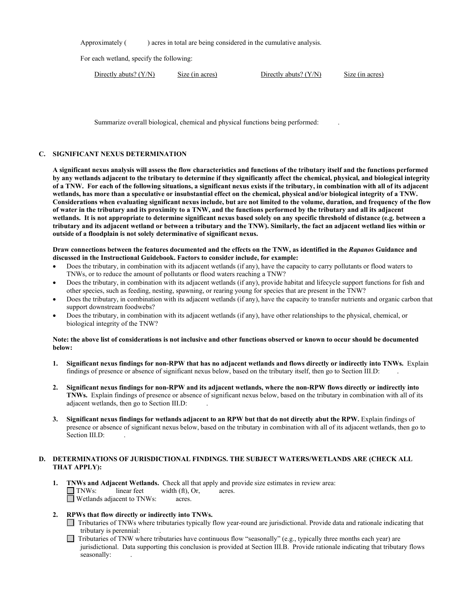Approximately ( ) acres in total are being considered in the cumulative analysis.

For each wetland, specify the following:

| Directly abuts? $(Y/N)$ | Size (in acres) | Directly abuts? $(Y/N)$ | Size (in acres) |
|-------------------------|-----------------|-------------------------|-----------------|
|                         |                 |                         |                 |

Summarize overall biological, chemical and physical functions being performed: .

# **C. SIGNIFICANT NEXUS DETERMINATION**

**A significant nexus analysis will assess the flow characteristics and functions of the tributary itself and the functions performed by any wetlands adjacent to the tributary to determine if they significantly affect the chemical, physical, and biological integrity of a TNW. For each of the following situations, a significant nexus exists if the tributary, in combination with all of its adjacent wetlands, has more than a speculative or insubstantial effect on the chemical, physical and/or biological integrity of a TNW. Considerations when evaluating significant nexus include, but are not limited to the volume, duration, and frequency of the flow of water in the tributary and its proximity to a TNW, and the functions performed by the tributary and all its adjacent wetlands. It is not appropriate to determine significant nexus based solely on any specific threshold of distance (e.g. between a tributary and its adjacent wetland or between a tributary and the TNW). Similarly, the fact an adjacent wetland lies within or outside of a floodplain is not solely determinative of significant nexus.** 

#### **Draw connections between the features documented and the effects on the TNW, as identified in the** *Rapanos* **Guidance and discussed in the Instructional Guidebook. Factors to consider include, for example:**

- Does the tributary, in combination with its adjacent wetlands (if any), have the capacity to carry pollutants or flood waters to TNWs, or to reduce the amount of pollutants or flood waters reaching a TNW?
- Does the tributary, in combination with its adjacent wetlands (if any), provide habitat and lifecycle support functions for fish and other species, such as feeding, nesting, spawning, or rearing young for species that are present in the TNW?
- Does the tributary, in combination with its adjacent wetlands (if any), have the capacity to transfer nutrients and organic carbon that support downstream foodwebs?
- Does the tributary, in combination with its adjacent wetlands (if any), have other relationships to the physical, chemical, or biological integrity of the TNW?

## **Note: the above list of considerations is not inclusive and other functions observed or known to occur should be documented below:**

- **1. Significant nexus findings for non-RPW that has no adjacent wetlands and flows directly or indirectly into TNWs.** Explain findings of presence or absence of significant nexus below, based on the tributary itself, then go to Section III.D: .
- **2. Significant nexus findings for non-RPW and its adjacent wetlands, where the non-RPW flows directly or indirectly into TNWs.** Explain findings of presence or absence of significant nexus below, based on the tributary in combination with all of its adjacent wetlands, then go to Section III.D: .
- **3. Significant nexus findings for wetlands adjacent to an RPW but that do not directly abut the RPW.** Explain findings of presence or absence of significant nexus below, based on the tributary in combination with all of its adjacent wetlands, then go to Section III.D:

# **D. DETERMINATIONS OF JURISDICTIONAL FINDINGS. THE SUBJECT WATERS/WETLANDS ARE (CHECK ALL THAT APPLY):**

- **1. TNWs and Adjacent Wetlands.** Check all that apply and provide size estimates in review area:  $\Box$  **TNWs:** linear feet width (ft). Or. acres. linear feet width (ft), Or, acres.  $\Box$  Wetlands adjacent to TNWs: acres.
- **2. RPWs that flow directly or indirectly into TNWs.** 
	- Tributaries of TNWs where tributaries typically flow year-round are jurisdictional. Provide data and rationale indicating that tributary is perennial: .
	- $\Box$  Tributaries of TNW where tributaries have continuous flow "seasonally" (e.g., typically three months each year) are jurisdictional. Data supporting this conclusion is provided at Section III.B. Provide rationale indicating that tributary flows seasonally: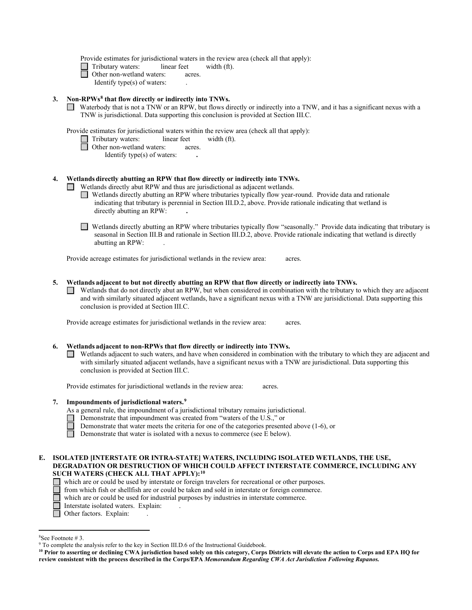Provide estimates for jurisdictional waters in the review area (check all that apply):

□ Tributary waters: linear feet width (ft).

□ Other non-wetland waters: acres.

Identify type(s) of waters: .

## **3. Non-RPWs[8](#page-5-0) that flow directly or indirectly into TNWs.**

Waterbody that is not a TNW or an RPW, but flows directly or indirectly into a TNW, and it has a significant nexus with a TNW is jurisdictional. Data supporting this conclusion is provided at Section III.C.

Provide estimates for jurisdictional waters within the review area (check all that apply):<br>  $\Box$  Tributary waters: linear feet width (ft).

Tributary waters:linear feetwidth (ft).

- □ Other non-wetland waters: acres.
	- Identify type(s) of waters: **.**

# **4. Wetlands directly abutting an RPW that flow directly or indirectly into TNWs.**

- Wetlands directly abut RPW and thus are jurisdictional as adjacent wetlands.
- Wetlands directly abutting an RPW where tributaries typically flow year-round. Provide data and rationale indicating that tributary is perennial in Section III.D.2, above. Provide rationale indicating that wetland is directly abutting an RPW: **.**
- Wetlands directly abutting an RPW where tributaries typically flow "seasonally." Provide data indicating that tributary is seasonal in Section III.B and rationale in Section III.D.2, above. Provide rationale indicating that wetland is directly abutting an RPW: .

Provide acreage estimates for jurisdictional wetlands in the review area:acres.

- **5. Wetlands adjacent to but not directly abutting an RPW that flow directly or indirectly into TNWs.** 
	- $\Box$  Wetlands that do not directly abut an RPW, but when considered in combination with the tributary to which they are adjacent and with similarly situated adjacent wetlands, have a significant nexus with a TNW are jurisidictional. Data supporting this conclusion is provided at Section III.C.

Provide acreage estimates for jurisdictional wetlands in the review area:acres.

# **6. Wetlands adjacent to non-RPWs that flow directly or indirectly into TNWs.**

Wetlands adjacent to such waters, and have when considered in combination with the tributary to which they are adjacent and with similarly situated adjacent wetlands, have a significant nexus with a TNW are jurisdictional. Data supporting this conclusion is provided at Section III.C.

Provide estimates for jurisdictional wetlands in the review area:acres.

# **7. Impoundments of jurisdictional waters. [9](#page-5-1)**

As a general rule, the impoundment of a jurisdictional tributary remains jurisdictional.

- Demonstrate that impoundment was created from "waters of the U.S.," or
- Demonstrate that water meets the criteria for one of the categories presented above (1-6), or Demonstrate that water is isolated with a nexus to commerce (see E below).
	- Demonstrate that water is isolated with a nexus to commerce (see E below).
- **E. ISOLATED [INTERSTATE OR INTRA-STATE] WATERS, INCLUDING ISOLATED WETLANDS, THE USE, DEGRADATION OR DESTRUCTION OF WHICH COULD AFFECT INTERSTATE COMMERCE, INCLUDING ANY SUCH WATERS (CHECK ALL THAT APPLY):[10](#page-5-2)**
	- which are or could be used by interstate or foreign travelers for recreational or other purposes.
	- from which fish or shellfish are or could be taken and sold in interstate or foreign commerce.
	- which are or could be used for industrial purposes by industries in interstate commerce.
	- Interstate isolated waters.Explain: .
	- □ Other factors. Explain:

<span id="page-5-0"></span><sup>&</sup>lt;sup>8</sup>See Footnote #3.

<span id="page-5-1"></span> $9$  To complete the analysis refer to the key in Section III.D.6 of the Instructional Guidebook.

<span id="page-5-2"></span>**<sup>10</sup> Prior to asserting or declining CWA jurisdiction based solely on this category, Corps Districts will elevate the action to Corps and EPA HQ for review consistent with the process described in the Corps/EPA** *Memorandum Regarding CWA Act Jurisdiction Following Rapanos.*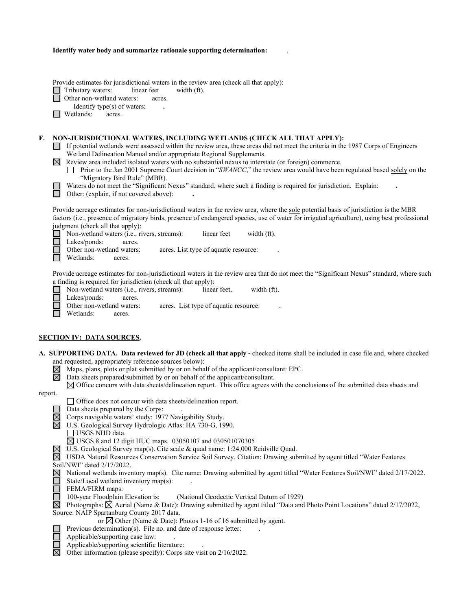| Identify water body and summarize rationale supporting determination: |  |
|-----------------------------------------------------------------------|--|
|-----------------------------------------------------------------------|--|

Provide estimates for jurisdictional waters in the review area (check all that apply):

Tributary waters: linear feet width (ft).<br>
Other non-wetland waters: acres.

Other non-wetland waters: acres.

- Identify type(s) of waters: **.**
- □ Wetlands: acres.

#### **F. NON-JURISDICTIONAL WATERS, INCLUDING WETLANDS (CHECK ALL THAT APPLY):**

- If potential wetlands were assessed within the review area, these areas did not meet the criteria in the 1987 Corps of Engineers Wetland Delineation Manual and/or appropriate Regional Supplements.
- $\mathbb{X}$  Review area included isolated waters with no substantial nexus to interstate (or foreign) commerce.
	- Prior to the Jan 2001 Supreme Court decision in "*SWANCC*," the review area would have been regulated based solely on the "Migratory Bird Rule" (MBR).
- 

Waters do not meet the "Significant Nexus" standard, where such a finding is required for jurisdiction. Explain: Other: (explain, if not covered above): **.**

Provide acreage estimates for non-jurisdictional waters in the review area, where the sole potential basis of jurisdiction is the MBR factors (i.e., presence of migratory birds, presence of endangered species, use of water for irrigated agriculture), using best professional judgment (check all that apply):

■ Non-wetland waters (i.e., rivers, streams): linear feet width (ft). Lakes/ponds: acres.

Other non-wetland waters: acres. List type of aquatic resource:

Wetlands: acres.

Provide acreage estimates for non-jurisdictional waters in the review area that do not meet the "Significant Nexus" standard, where such a finding is required for jurisdiction (check all that apply):

Non-wetland waters (i.e., rivers, streams):linear feet,width (ft).  $\Box$ Lakes/ponds: acres. Other non-wetland waters: acres. List type of aquatic resource: П Wetlands: acres.

#### **SECTION IV: DATA SOURCES.**

| A. SUPPORTING DATA. Data reviewed for JD (check all that apply - checked items shall be included in case file and, where checked |  |
|----------------------------------------------------------------------------------------------------------------------------------|--|
| and requested, appropriately reference sources below):                                                                           |  |

- Maps, plans, plots or plat submitted by or on behalf of the applicant/consultant: EPC.
- 岗 Data sheets prepared/submitted by or on behalf of the applicant/consultant.

 $\boxtimes$  Office concurs with data sheets/delineation report. This office agrees with the conclusions of the submitted data sheets and

#### report.

П

П

Office does not concur with data sheets/delineation report.

Data sheets prepared by the Corps: .

 $\boxtimes$  Corps navigable waters' study: 1977 Navigability Study.

- U.S. Geological Survey Hydrologic Atlas: HA 730-G, 1990.
	- USGS NHD data.
	- USGS 8 and 12 digit HUC maps. 03050107 and 030501070305
- $\boxtimes$  U.S. Geological Survey map(s). Cite scale & quad name: 1:24,000 Reidville Quad.

USDA Natural Resources Conservation Service Soil Survey. Citation: Drawing submitted by agent titled "Water Features

Soil/NWI" dated 2/17/2022.

| ⊠ National wetlands inventory map(s). Cite name: Drawing submitted by agent titled "Water Features Soil/NWI" dated 2/17/2022. |  |  |  |  |
|-------------------------------------------------------------------------------------------------------------------------------|--|--|--|--|
| State/Local wetland inventory map(s):                                                                                         |  |  |  |  |

 $\Box$ 

FEMA/FIRM maps: .<br>100-year Floodplain Elevation is: (National Geodectic Vertical Datum of 1929)

 $\boxtimes$  Photographs:  $\boxtimes$  Aerial (Name & Date): Drawing submitted by agent titled "Data and Photo Point Locations" dated 2/17/2022, Source: NAIP Spartanburg County 2017 data.

or  $\boxtimes$  Other (Name & Date): Photos 1-16 of 16 submitted by agent.

- Previous determination(s). File no. and date of response letter:
- Applicable/supporting case law: .
- Applicable/supporting scientific literature: .
- $\boxtimes$ Other information (please specify): Corps site visit on 2/16/2022.